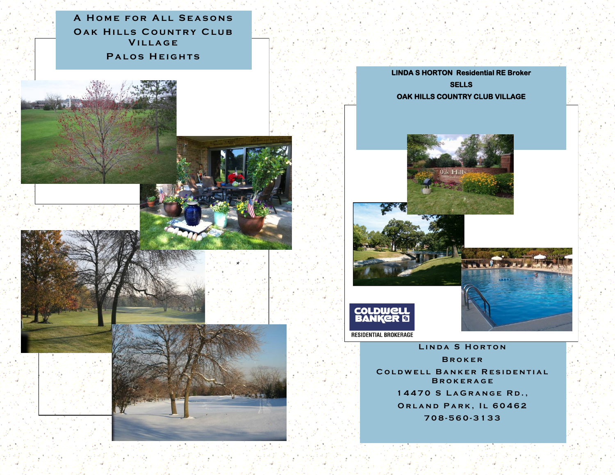**A HOME FOR ALL SEASONS OAK HILLS COUNTRY CLUB VILLAGE PALOS HEIGHTS** 









LINDA S HORTON **B r o k e r COLDWELL BANKER RESIDENTIAL B r o k e r a g e 14470 S LAGRANGE RD., ORLAND PARK, IL 60462 708 - 560 - 3 1 3 3**



**\***

**CONTRACTOR**  $-10 - 74$